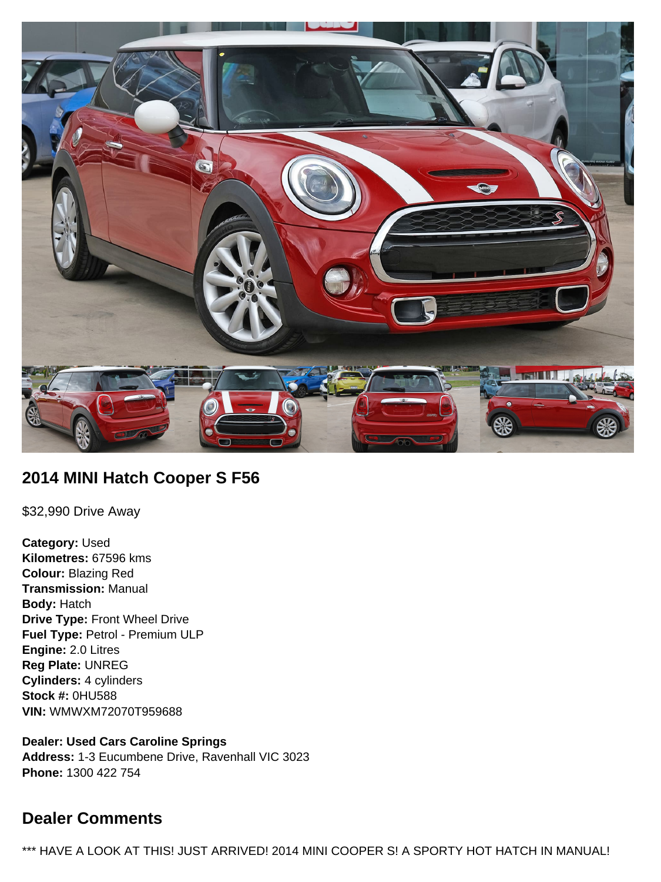

# **2014 MINI Hatch Cooper S F56**

\$32,990 Drive Away

**Category:** Used **Kilometres:** 67596 kms **Colour:** Blazing Red **Transmission:** Manual **Body:** Hatch **Drive Type:** Front Wheel Drive **Fuel Type:** Petrol - Premium ULP **Engine:** 2.0 Litres **Reg Plate:** UNREG **Cylinders:** 4 cylinders **Stock #:** 0HU588 **VIN:** WMWXM72070T959688

**Dealer: Used Cars Caroline Springs Address:** 1-3 Eucumbene Drive, Ravenhall VIC 3023 **Phone:** 1300 422 754

# **Dealer Comments**

\*\*\* HAVE A LOOK AT THIS! JUST ARRIVED! 2014 MINI COOPER S! A SPORTY HOT HATCH IN MANUAL!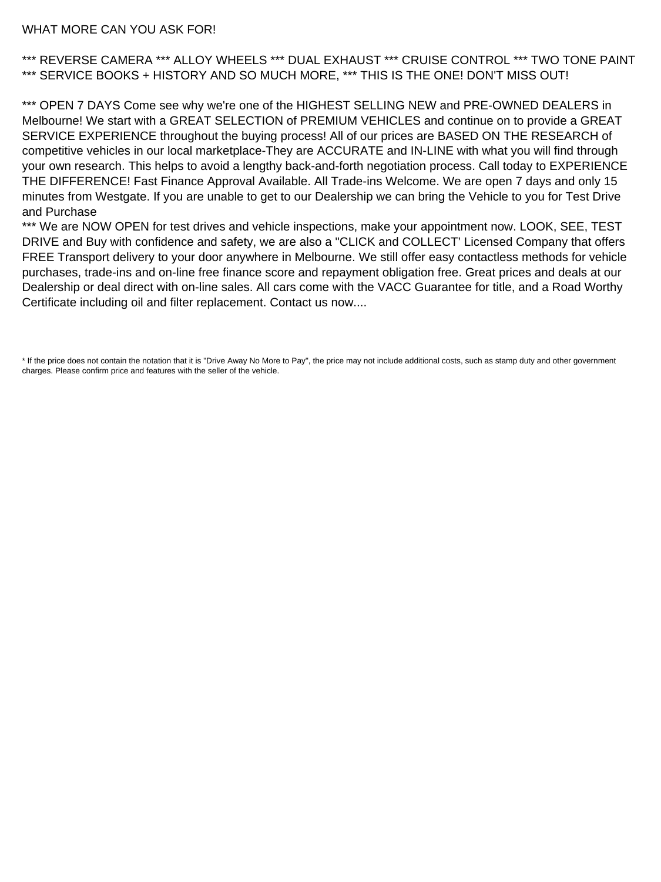#### WHAT MORE CAN YOU ASK FOR!

\*\*\* REVERSE CAMERA \*\*\* ALLOY WHEELS \*\*\* DUAL EXHAUST \*\*\* CRUISE CONTROL \*\*\* TWO TONE PAINT \*\*\* SERVICE BOOKS + HISTORY AND SO MUCH MORE, \*\*\* THIS IS THE ONE! DON'T MISS OUT!

\*\*\* OPEN 7 DAYS Come see why we're one of the HIGHEST SELLING NEW and PRE-OWNED DEALERS in Melbourne! We start with a GREAT SELECTION of PREMIUM VEHICLES and continue on to provide a GREAT SERVICE EXPERIENCE throughout the buying process! All of our prices are BASED ON THE RESEARCH of competitive vehicles in our local marketplace-They are ACCURATE and IN-LINE with what you will find through your own research. This helps to avoid a lengthy back-and-forth negotiation process. Call today to EXPERIENCE THE DIFFERENCE! Fast Finance Approval Available. All Trade-ins Welcome. We are open 7 days and only 15 minutes from Westgate. If you are unable to get to our Dealership we can bring the Vehicle to you for Test Drive and Purchase

\*\*\* We are NOW OPEN for test drives and vehicle inspections, make your appointment now. LOOK, SEE, TEST DRIVE and Buy with confidence and safety, we are also a "CLICK and COLLECT' Licensed Company that offers FREE Transport delivery to your door anywhere in Melbourne. We still offer easy contactless methods for vehicle purchases, trade-ins and on-line free finance score and repayment obligation free. Great prices and deals at our Dealership or deal direct with on-line sales. All cars come with the VACC Guarantee for title, and a Road Worthy Certificate including oil and filter replacement. Contact us now....

\* If the price does not contain the notation that it is "Drive Away No More to Pay", the price may not include additional costs, such as stamp duty and other government charges. Please confirm price and features with the seller of the vehicle.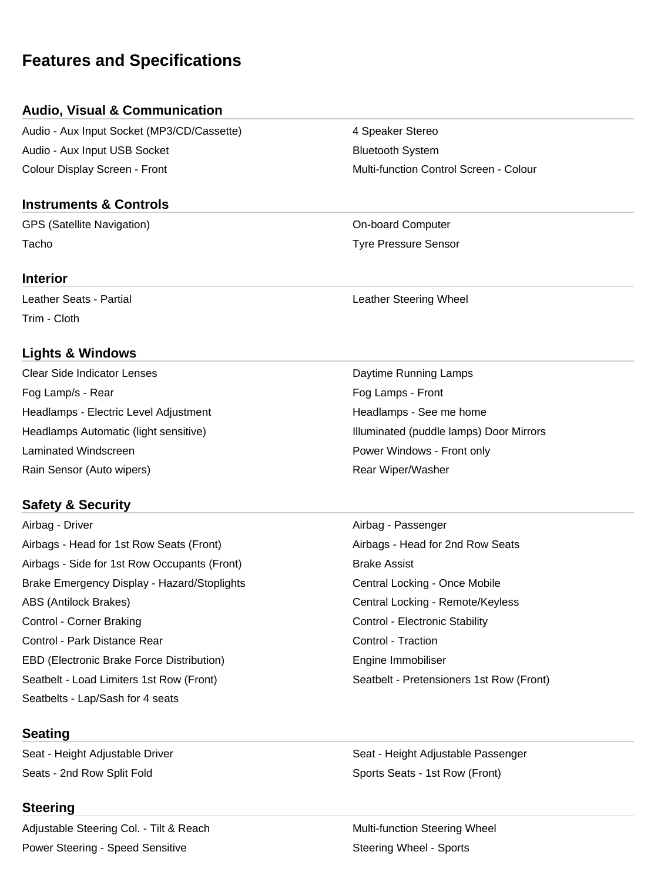# **Features and Specifications**

## **Audio, Visual & Communication**

Audio - Aux Input Socket (MP3/CD/Cassette) 4 Speaker Stereo Audio - Aux Input USB Socket **Bluetooth System** Bluetooth System Colour Display Screen - Front Multi-function Control Screen - Colour

### **Instruments & Controls**

GPS (Satellite Navigation) and Computer Computer Computer Computer Tacho Tyre Pressure Sensor

#### **Interior**

Trim - Cloth

## **Lights & Windows**

Clear Side Indicator Lenses Daytime Running Lamps Fog Lamp/s - Rear Fog Lamps - Front Headlamps - Electric Level Adjustment **Headlamps - See me home** Headlamps - See me home Laminated Windscreen **Power Windows - Front only Power Windows - Front only** Rain Sensor (Auto wipers) **Rear Wiper/Washer** Rear Wiper/Washer

## **Safety & Security**

Airbag - Driver Airbag - Passenger Airbags - Head for 1st Row Seats (Front) Airbags - Head for 2nd Row Seats Airbags - Side for 1st Row Occupants (Front) Brake Assist Brake Emergency Display - Hazard/Stoplights **Central Locking - Once Mobile** Central Locking - Once Mobile ABS (Antilock Brakes) Central Locking - Remote/Keyless Control - Corner Braking Control - Electronic Stability Control - Park Distance Rear Control - Traction Control - Traction EBD (Electronic Brake Force Distribution) The Engine Immobiliser Seatbelt - Load Limiters 1st Row (Front) Seatbelt - Pretensioners 1st Row (Front) Seatbelts - Lap/Sash for 4 seats

### **Seating**

Seats - 2nd Row Split Fold Sports Seats - 1st Row (Front)

#### **Steering**

Adjustable Steering Col. - Tilt & Reach Multi-function Steering Wheel Power Steering - Speed Sensitive Steering Wheel - Sports

Leather Seats - Partial **Leather Steering Wheel** 

Headlamps Automatic (light sensitive) **Illuminated** (puddle lamps) Door Mirrors

Seat - Height Adjustable Driver New Seat - Height Adjustable Passenger